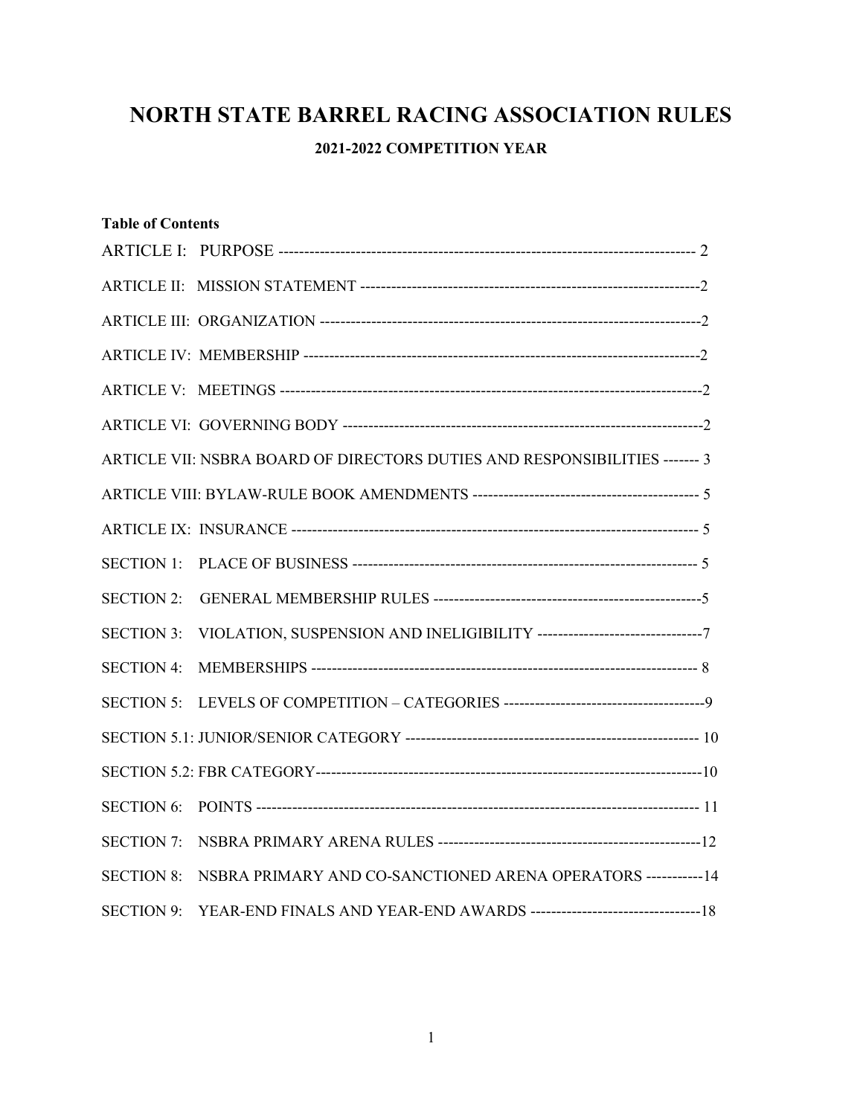# NORTH STATE BARREL RACING ASSOCIATION RULES

# 2021-2022 COMPETITION YEAR

| <b>Table of Contents</b> |                                                                             |  |  |
|--------------------------|-----------------------------------------------------------------------------|--|--|
|                          |                                                                             |  |  |
|                          |                                                                             |  |  |
|                          |                                                                             |  |  |
|                          |                                                                             |  |  |
|                          |                                                                             |  |  |
|                          |                                                                             |  |  |
|                          | ARTICLE VII: NSBRA BOARD OF DIRECTORS DUTIES AND RESPONSIBILITIES ------- 3 |  |  |
|                          |                                                                             |  |  |
|                          |                                                                             |  |  |
| <b>SECTION 1:</b>        |                                                                             |  |  |
| <b>SECTION 2:</b>        |                                                                             |  |  |
| <b>SECTION 3:</b>        |                                                                             |  |  |
| <b>SECTION 4:</b>        |                                                                             |  |  |
|                          |                                                                             |  |  |
|                          |                                                                             |  |  |
|                          |                                                                             |  |  |
| <b>SECTION 6:</b>        |                                                                             |  |  |
| <b>SECTION 7:</b>        |                                                                             |  |  |
| <b>SECTION 8:</b>        | NSBRA PRIMARY AND CO-SANCTIONED ARENA OPERATORS -----------14               |  |  |
| <b>SECTION 9:</b>        |                                                                             |  |  |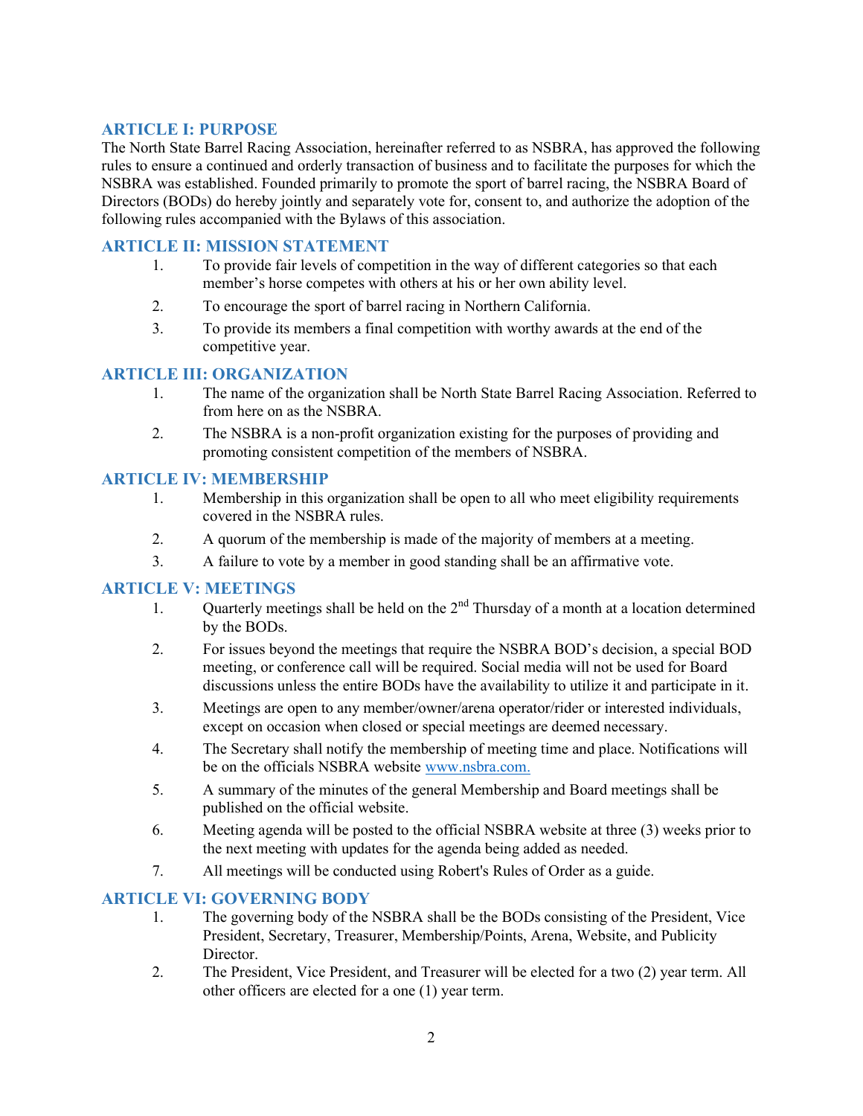## ARTICLE I: PURPOSE

The North State Barrel Racing Association, hereinafter referred to as NSBRA, has approved the following rules to ensure a continued and orderly transaction of business and to facilitate the purposes for which the NSBRA was established. Founded primarily to promote the sport of barrel racing, the NSBRA Board of Directors (BODs) do hereby jointly and separately vote for, consent to, and authorize the adoption of the following rules accompanied with the Bylaws of this association.

## ARTICLE II: MISSION STATEMENT

- 1. To provide fair levels of competition in the way of different categories so that each member's horse competes with others at his or her own ability level.
- 2. To encourage the sport of barrel racing in Northern California.
- 3. To provide its members a final competition with worthy awards at the end of the competitive year.

#### ARTICLE III: ORGANIZATION

- 1. The name of the organization shall be North State Barrel Racing Association. Referred to from here on as the NSBRA.
- 2. The NSBRA is a non-profit organization existing for the purposes of providing and promoting consistent competition of the members of NSBRA.

#### ARTICLE IV: MEMBERSHIP

- 1. Membership in this organization shall be open to all who meet eligibility requirements covered in the NSBRA rules.
- 2. A quorum of the membership is made of the majority of members at a meeting.
- 3. A failure to vote by a member in good standing shall be an affirmative vote.

#### ARTICLE V: MEETINGS

- 1. Quarterly meetings shall be held on the  $2<sup>nd</sup>$  Thursday of a month at a location determined by the BODs.
- 2. For issues beyond the meetings that require the NSBRA BOD's decision, a special BOD meeting, or conference call will be required. Social media will not be used for Board discussions unless the entire BODs have the availability to utilize it and participate in it.
- 3. Meetings are open to any member/owner/arena operator/rider or interested individuals, except on occasion when closed or special meetings are deemed necessary.
- 4. The Secretary shall notify the membership of meeting time and place. Notifications will be on the officials NSBRA website www.nsbra.com.
- 5. A summary of the minutes of the general Membership and Board meetings shall be published on the official website.
- 6. Meeting agenda will be posted to the official NSBRA website at three (3) weeks prior to the next meeting with updates for the agenda being added as needed.
- 7. All meetings will be conducted using Robert's Rules of Order as a guide.

#### ARTICLE VI: GOVERNING BODY

- 1. The governing body of the NSBRA shall be the BODs consisting of the President, Vice President, Secretary, Treasurer, Membership/Points, Arena, Website, and Publicity Director.
- 2. The President, Vice President, and Treasurer will be elected for a two (2) year term. All other officers are elected for a one (1) year term.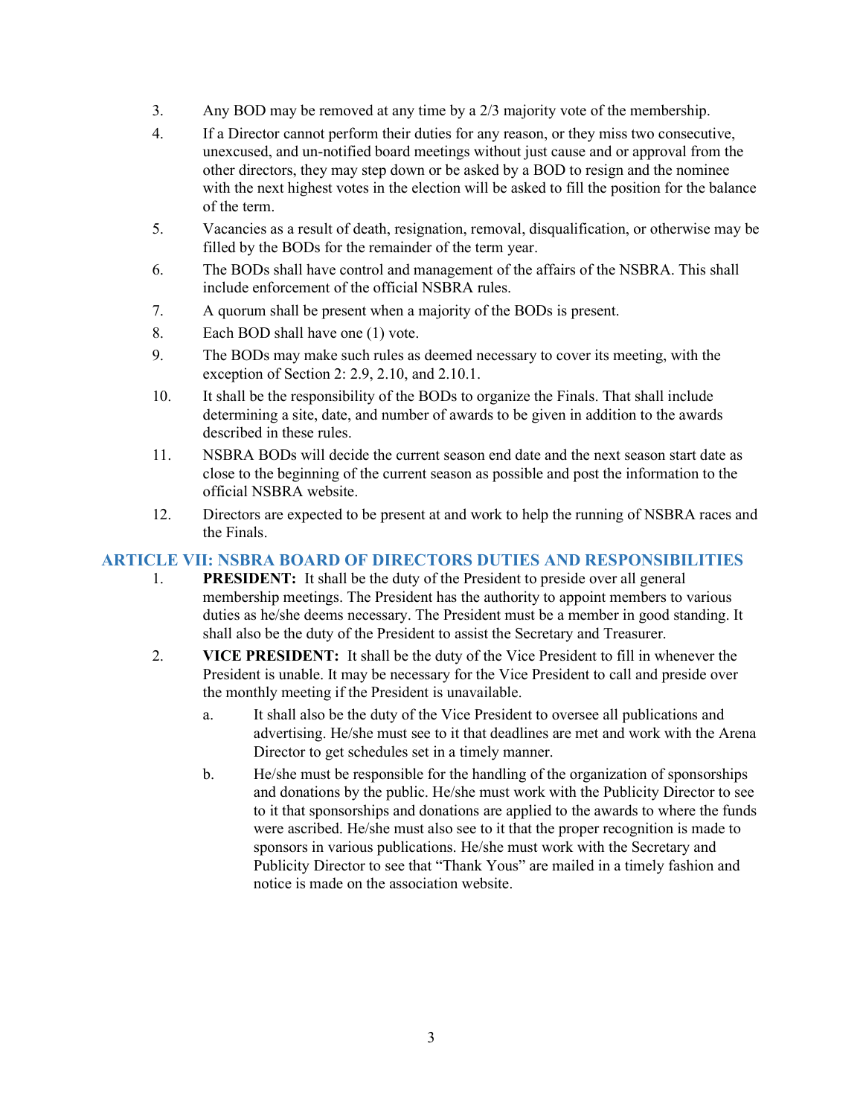- 3. Any BOD may be removed at any time by a 2/3 majority vote of the membership.
- 4. If a Director cannot perform their duties for any reason, or they miss two consecutive, unexcused, and un-notified board meetings without just cause and or approval from the other directors, they may step down or be asked by a BOD to resign and the nominee with the next highest votes in the election will be asked to fill the position for the balance of the term.
- 5. Vacancies as a result of death, resignation, removal, disqualification, or otherwise may be filled by the BODs for the remainder of the term year.
- 6. The BODs shall have control and management of the affairs of the NSBRA. This shall include enforcement of the official NSBRA rules.
- 7. A quorum shall be present when a majority of the BODs is present.
- 8. Each BOD shall have one (1) vote.
- 9. The BODs may make such rules as deemed necessary to cover its meeting, with the exception of Section 2: 2.9, 2.10, and 2.10.1.
- 10. It shall be the responsibility of the BODs to organize the Finals. That shall include determining a site, date, and number of awards to be given in addition to the awards described in these rules.
- 11. NSBRA BODs will decide the current season end date and the next season start date as close to the beginning of the current season as possible and post the information to the official NSBRA website.
- 12. Directors are expected to be present at and work to help the running of NSBRA races and the Finals.

## ARTICLE VII: NSBRA BOARD OF DIRECTORS DUTIES AND RESPONSIBILITIES

- 1. PRESIDENT: It shall be the duty of the President to preside over all general membership meetings. The President has the authority to appoint members to various duties as he/she deems necessary. The President must be a member in good standing. It shall also be the duty of the President to assist the Secretary and Treasurer.
- 2. VICE PRESIDENT: It shall be the duty of the Vice President to fill in whenever the President is unable. It may be necessary for the Vice President to call and preside over the monthly meeting if the President is unavailable.
	- a. It shall also be the duty of the Vice President to oversee all publications and advertising. He/she must see to it that deadlines are met and work with the Arena Director to get schedules set in a timely manner.
	- b. He/she must be responsible for the handling of the organization of sponsorships and donations by the public. He/she must work with the Publicity Director to see to it that sponsorships and donations are applied to the awards to where the funds were ascribed. He/she must also see to it that the proper recognition is made to sponsors in various publications. He/she must work with the Secretary and Publicity Director to see that "Thank Yous" are mailed in a timely fashion and notice is made on the association website.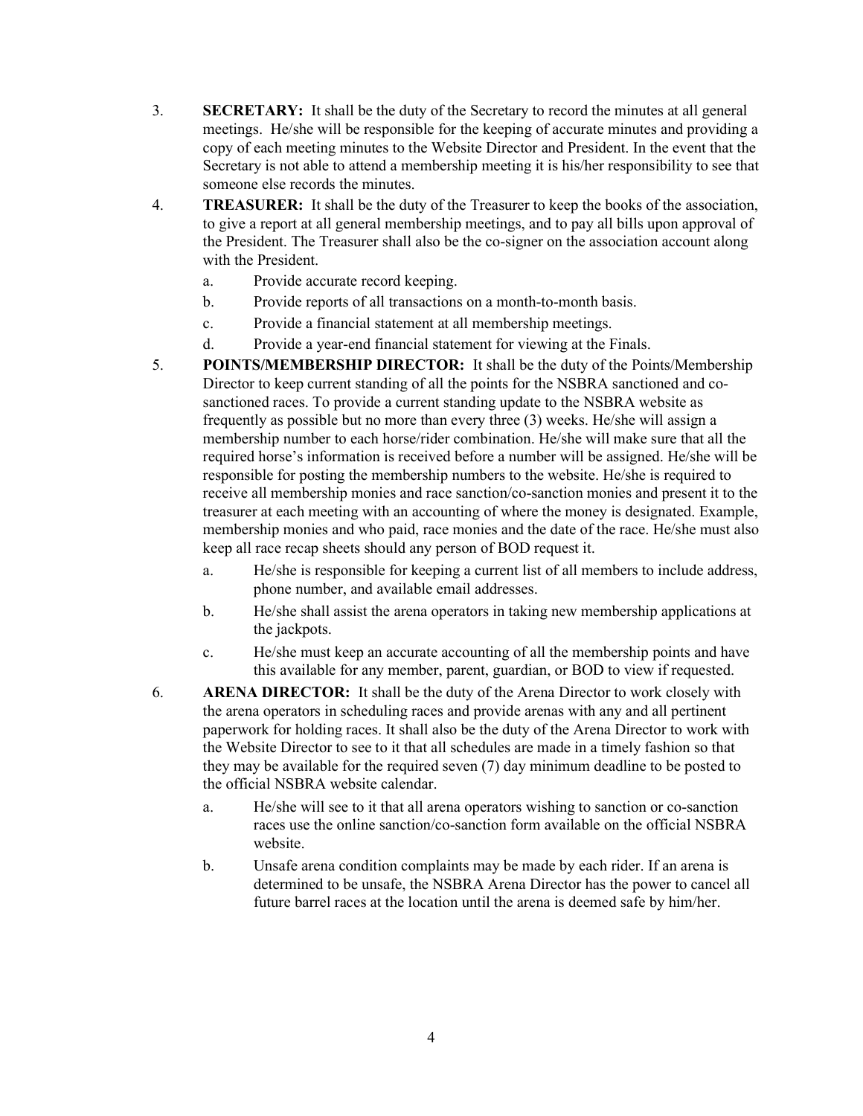- 3. SECRETARY: It shall be the duty of the Secretary to record the minutes at all general meetings. He/she will be responsible for the keeping of accurate minutes and providing a copy of each meeting minutes to the Website Director and President. In the event that the Secretary is not able to attend a membership meeting it is his/her responsibility to see that someone else records the minutes.
- 4. TREASURER: It shall be the duty of the Treasurer to keep the books of the association, to give a report at all general membership meetings, and to pay all bills upon approval of the President. The Treasurer shall also be the co-signer on the association account along with the President.
	- a. Provide accurate record keeping.
	- b. Provide reports of all transactions on a month-to-month basis.
	- c. Provide a financial statement at all membership meetings.
	- d. Provide a year-end financial statement for viewing at the Finals.
- 5. POINTS/MEMBERSHIP DIRECTOR: It shall be the duty of the Points/Membership Director to keep current standing of all the points for the NSBRA sanctioned and cosanctioned races. To provide a current standing update to the NSBRA website as frequently as possible but no more than every three (3) weeks. He/she will assign a membership number to each horse/rider combination. He/she will make sure that all the required horse's information is received before a number will be assigned. He/she will be responsible for posting the membership numbers to the website. He/she is required to receive all membership monies and race sanction/co-sanction monies and present it to the treasurer at each meeting with an accounting of where the money is designated. Example, membership monies and who paid, race monies and the date of the race. He/she must also keep all race recap sheets should any person of BOD request it.
	- a. He/she is responsible for keeping a current list of all members to include address, phone number, and available email addresses.
	- b. He/she shall assist the arena operators in taking new membership applications at the jackpots.
	- c. He/she must keep an accurate accounting of all the membership points and have this available for any member, parent, guardian, or BOD to view if requested.
- 6. ARENA DIRECTOR: It shall be the duty of the Arena Director to work closely with the arena operators in scheduling races and provide arenas with any and all pertinent paperwork for holding races. It shall also be the duty of the Arena Director to work with the Website Director to see to it that all schedules are made in a timely fashion so that they may be available for the required seven (7) day minimum deadline to be posted to the official NSBRA website calendar.
	- a. He/she will see to it that all arena operators wishing to sanction or co-sanction races use the online sanction/co-sanction form available on the official NSBRA website.
	- b. Unsafe arena condition complaints may be made by each rider. If an arena is determined to be unsafe, the NSBRA Arena Director has the power to cancel all future barrel races at the location until the arena is deemed safe by him/her.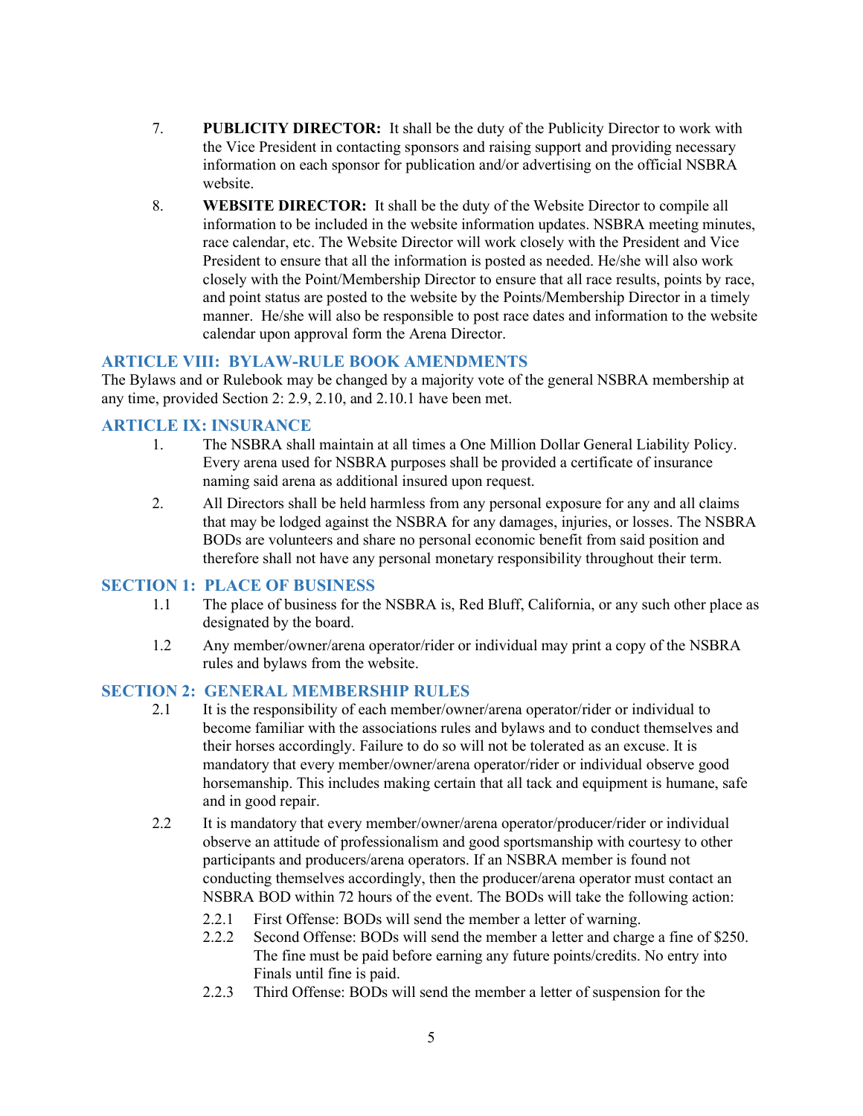- 7. PUBLICITY DIRECTOR: It shall be the duty of the Publicity Director to work with the Vice President in contacting sponsors and raising support and providing necessary information on each sponsor for publication and/or advertising on the official NSBRA website.
- 8. WEBSITE DIRECTOR: It shall be the duty of the Website Director to compile all information to be included in the website information updates. NSBRA meeting minutes, race calendar, etc. The Website Director will work closely with the President and Vice President to ensure that all the information is posted as needed. He/she will also work closely with the Point/Membership Director to ensure that all race results, points by race, and point status are posted to the website by the Points/Membership Director in a timely manner. He/she will also be responsible to post race dates and information to the website calendar upon approval form the Arena Director.

#### ARTICLE VIII: BYLAW-RULE BOOK AMENDMENTS

The Bylaws and or Rulebook may be changed by a majority vote of the general NSBRA membership at any time, provided Section 2: 2.9, 2.10, and 2.10.1 have been met.

#### ARTICLE IX: INSURANCE

- 1. The NSBRA shall maintain at all times a One Million Dollar General Liability Policy. Every arena used for NSBRA purposes shall be provided a certificate of insurance naming said arena as additional insured upon request.
- 2. All Directors shall be held harmless from any personal exposure for any and all claims that may be lodged against the NSBRA for any damages, injuries, or losses. The NSBRA BODs are volunteers and share no personal economic benefit from said position and therefore shall not have any personal monetary responsibility throughout their term.

#### SECTION 1: PLACE OF BUSINESS

- 1.1 The place of business for the NSBRA is, Red Bluff, California, or any such other place as designated by the board.
- 1.2 Any member/owner/arena operator/rider or individual may print a copy of the NSBRA rules and bylaws from the website.

#### SECTION 2: GENERAL MEMBERSHIP RULES

- 2.1 It is the responsibility of each member/owner/arena operator/rider or individual to become familiar with the associations rules and bylaws and to conduct themselves and their horses accordingly. Failure to do so will not be tolerated as an excuse. It is mandatory that every member/owner/arena operator/rider or individual observe good horsemanship. This includes making certain that all tack and equipment is humane, safe and in good repair.
- 2.2 It is mandatory that every member/owner/arena operator/producer/rider or individual observe an attitude of professionalism and good sportsmanship with courtesy to other participants and producers/arena operators. If an NSBRA member is found not conducting themselves accordingly, then the producer/arena operator must contact an NSBRA BOD within 72 hours of the event. The BODs will take the following action:
	- 2.2.1 First Offense: BODs will send the member a letter of warning.
	- 2.2.2 Second Offense: BODs will send the member a letter and charge a fine of \$250. The fine must be paid before earning any future points/credits. No entry into Finals until fine is paid.
	- 2.2.3 Third Offense: BODs will send the member a letter of suspension for the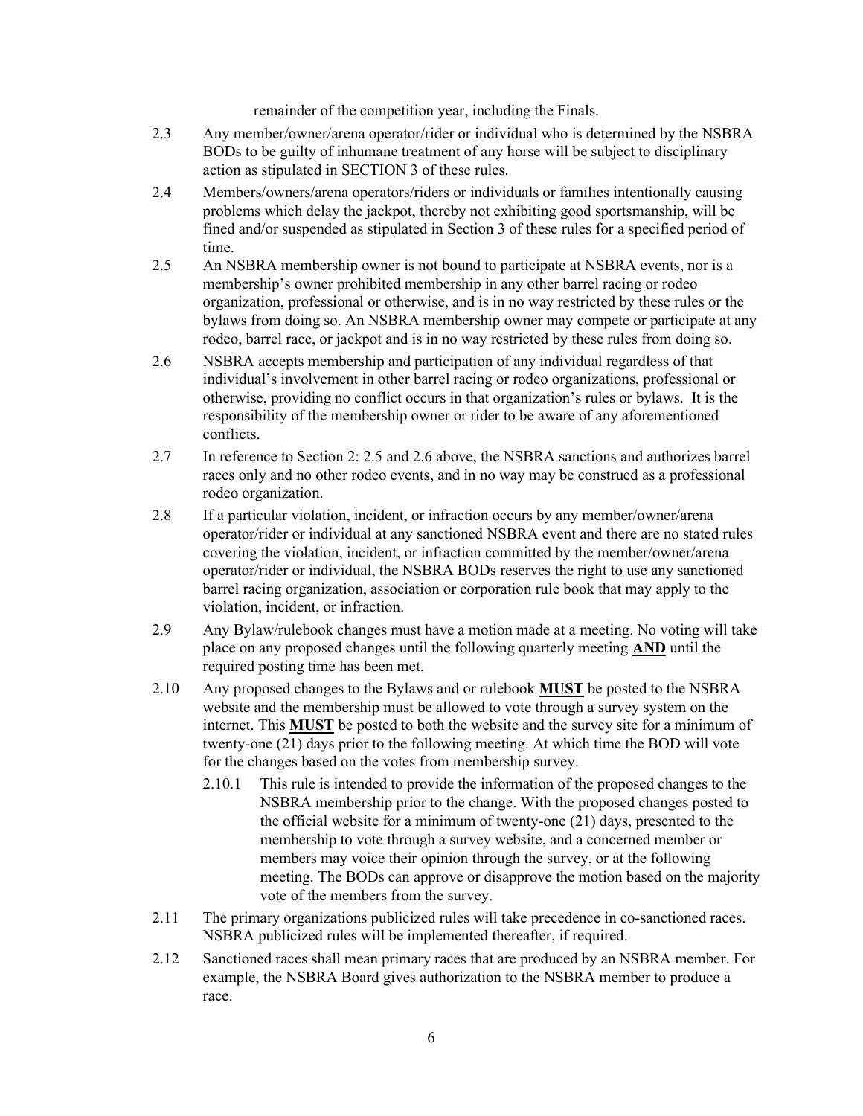remainder of the competition year, including the Finals.

- 2.3 Any member/owner/arena operator/rider or individual who is determined by the NSBRA BODs to be guilty of inhumane treatment of any horse will be subject to disciplinary action as stipulated in SECTION 3 of these rules.
- 2.4 Members/owners/arena operators/riders or individuals or families intentionally causing problems which delay the jackpot, thereby not exhibiting good sportsmanship, will be fined and/or suspended as stipulated in Section 3 of these rules for a specified period of time.
- 2.5 An NSBRA membership owner is not bound to participate at NSBRA events, nor is a membership's owner prohibited membership in any other barrel racing or rodeo organization, professional or otherwise, and is in no way restricted by these rules or the bylaws from doing so. An NSBRA membership owner may compete or participate at any rodeo, barrel race, or jackpot and is in no way restricted by these rules from doing so.
- 2.6 NSBRA accepts membership and participation of any individual regardless of that individual's involvement in other barrel racing or rodeo organizations, professional or otherwise, providing no conflict occurs in that organization's rules or bylaws. It is the responsibility of the membership owner or rider to be aware of any aforementioned conflicts.
- 2.7 In reference to Section 2: 2.5 and 2.6 above, the NSBRA sanctions and authorizes barrel races only and no other rodeo events, and in no way may be construed as a professional rodeo organization.
- 2.8 If a particular violation, incident, or infraction occurs by any member/owner/arena operator/rider or individual at any sanctioned NSBRA event and there are no stated rules covering the violation, incident, or infraction committed by the member/owner/arena operator/rider or individual, the NSBRA BODs reserves the right to use any sanctioned barrel racing organization, association or corporation rule book that may apply to the violation, incident, or infraction.
- 2.9 Any Bylaw/rulebook changes must have a motion made at a meeting. No voting will take place on any proposed changes until the following quarterly meeting AND until the required posting time has been met.
- 2.10 Any proposed changes to the Bylaws and or rulebook MUST be posted to the NSBRA website and the membership must be allowed to vote through a survey system on the internet. This MUST be posted to both the website and the survey site for a minimum of twenty-one (21) days prior to the following meeting. At which time the BOD will vote for the changes based on the votes from membership survey.
	- 2.10.1 This rule is intended to provide the information of the proposed changes to the NSBRA membership prior to the change. With the proposed changes posted to the official website for a minimum of twenty-one (21) days, presented to the membership to vote through a survey website, and a concerned member or members may voice their opinion through the survey, or at the following meeting. The BODs can approve or disapprove the motion based on the majority vote of the members from the survey.
- 2.11 The primary organizations publicized rules will take precedence in co-sanctioned races. NSBRA publicized rules will be implemented thereafter, if required.
- 2.12 Sanctioned races shall mean primary races that are produced by an NSBRA member. For example, the NSBRA Board gives authorization to the NSBRA member to produce a race.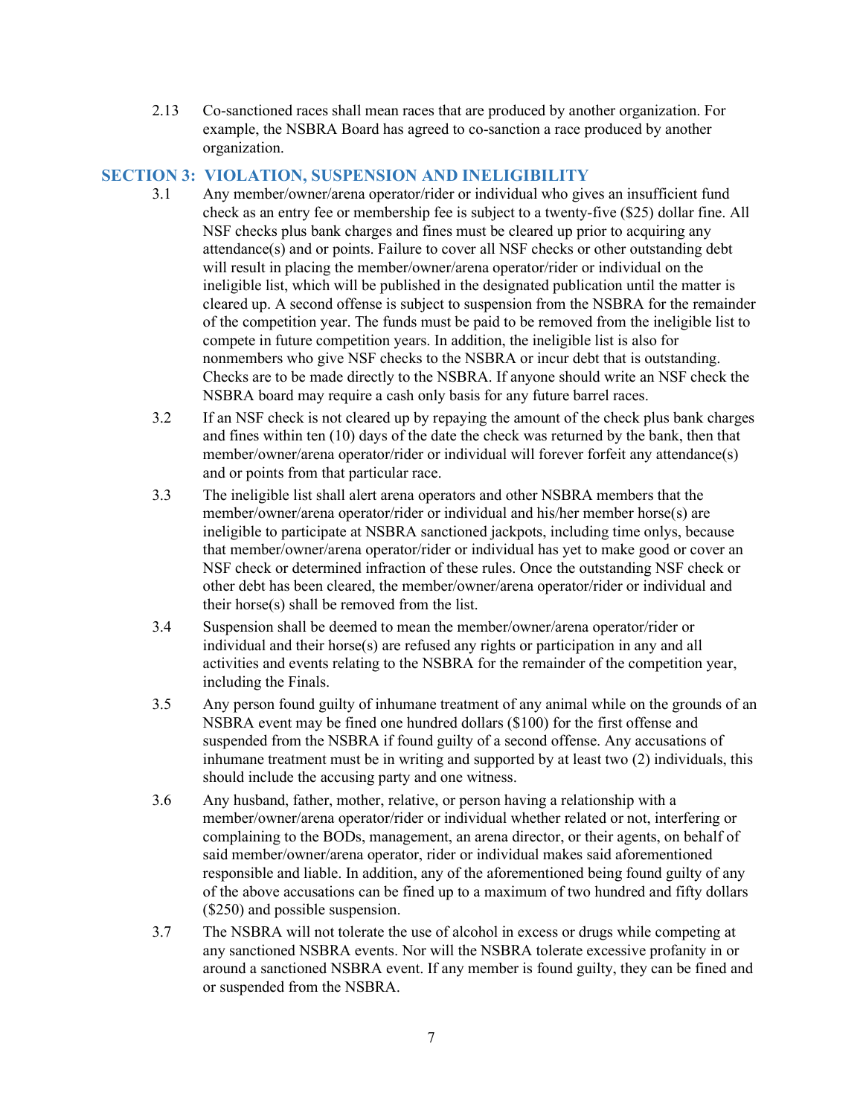2.13 Co-sanctioned races shall mean races that are produced by another organization. For example, the NSBRA Board has agreed to co-sanction a race produced by another organization.

## SECTION 3: VIOLATION, SUSPENSION AND INELIGIBILITY

- 3.1 Any member/owner/arena operator/rider or individual who gives an insufficient fund check as an entry fee or membership fee is subject to a twenty-five (\$25) dollar fine. All NSF checks plus bank charges and fines must be cleared up prior to acquiring any attendance(s) and or points. Failure to cover all NSF checks or other outstanding debt will result in placing the member/owner/arena operator/rider or individual on the ineligible list, which will be published in the designated publication until the matter is cleared up. A second offense is subject to suspension from the NSBRA for the remainder of the competition year. The funds must be paid to be removed from the ineligible list to compete in future competition years. In addition, the ineligible list is also for nonmembers who give NSF checks to the NSBRA or incur debt that is outstanding. Checks are to be made directly to the NSBRA. If anyone should write an NSF check the NSBRA board may require a cash only basis for any future barrel races.
- 3.2 If an NSF check is not cleared up by repaying the amount of the check plus bank charges and fines within ten (10) days of the date the check was returned by the bank, then that member/owner/arena operator/rider or individual will forever forfeit any attendance(s) and or points from that particular race.
- 3.3 The ineligible list shall alert arena operators and other NSBRA members that the member/owner/arena operator/rider or individual and his/her member horse(s) are ineligible to participate at NSBRA sanctioned jackpots, including time onlys, because that member/owner/arena operator/rider or individual has yet to make good or cover an NSF check or determined infraction of these rules. Once the outstanding NSF check or other debt has been cleared, the member/owner/arena operator/rider or individual and their horse(s) shall be removed from the list.
- 3.4 Suspension shall be deemed to mean the member/owner/arena operator/rider or individual and their horse(s) are refused any rights or participation in any and all activities and events relating to the NSBRA for the remainder of the competition year, including the Finals.
- 3.5 Any person found guilty of inhumane treatment of any animal while on the grounds of an NSBRA event may be fined one hundred dollars (\$100) for the first offense and suspended from the NSBRA if found guilty of a second offense. Any accusations of inhumane treatment must be in writing and supported by at least two (2) individuals, this should include the accusing party and one witness.
- 3.6 Any husband, father, mother, relative, or person having a relationship with a member/owner/arena operator/rider or individual whether related or not, interfering or complaining to the BODs, management, an arena director, or their agents, on behalf of said member/owner/arena operator, rider or individual makes said aforementioned responsible and liable. In addition, any of the aforementioned being found guilty of any of the above accusations can be fined up to a maximum of two hundred and fifty dollars (\$250) and possible suspension.
- 3.7 The NSBRA will not tolerate the use of alcohol in excess or drugs while competing at any sanctioned NSBRA events. Nor will the NSBRA tolerate excessive profanity in or around a sanctioned NSBRA event. If any member is found guilty, they can be fined and or suspended from the NSBRA.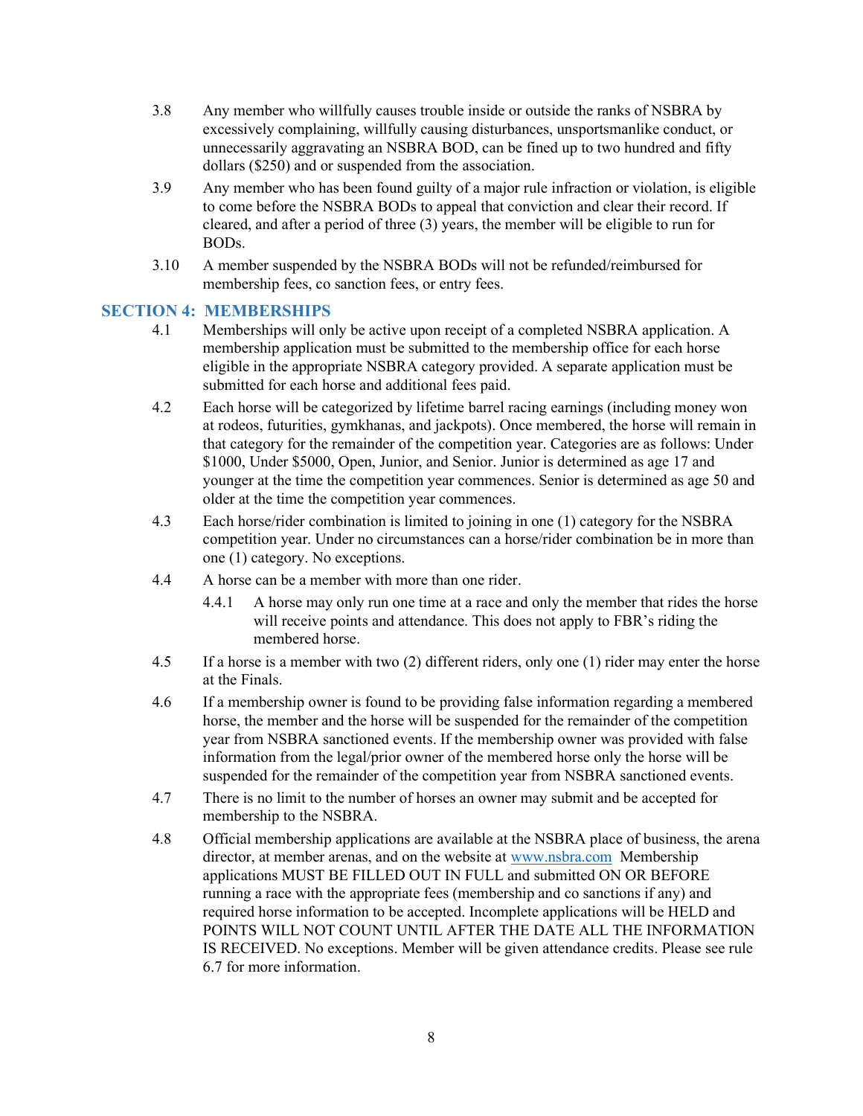- 3.8 Any member who willfully causes trouble inside or outside the ranks of NSBRA by excessively complaining, willfully causing disturbances, unsportsmanlike conduct, or unnecessarily aggravating an NSBRA BOD, can be fined up to two hundred and fifty dollars (\$250) and or suspended from the association.
- 3.9 Any member who has been found guilty of a major rule infraction or violation, is eligible to come before the NSBRA BODs to appeal that conviction and clear their record. If cleared, and after a period of three (3) years, the member will be eligible to run for BODs.
- 3.10 A member suspended by the NSBRA BODs will not be refunded/reimbursed for membership fees, co sanction fees, or entry fees.

## SECTION 4: MEMBERSHIPS

- 4.1 Memberships will only be active upon receipt of a completed NSBRA application. A membership application must be submitted to the membership office for each horse eligible in the appropriate NSBRA category provided. A separate application must be submitted for each horse and additional fees paid.
- 4.2 Each horse will be categorized by lifetime barrel racing earnings (including money won at rodeos, futurities, gymkhanas, and jackpots). Once membered, the horse will remain in that category for the remainder of the competition year. Categories are as follows: Under \$1000, Under \$5000, Open, Junior, and Senior. Junior is determined as age 17 and younger at the time the competition year commences. Senior is determined as age 50 and older at the time the competition year commences.
- 4.3 Each horse/rider combination is limited to joining in one (1) category for the NSBRA competition year. Under no circumstances can a horse/rider combination be in more than one (1) category. No exceptions.
- 4.4 A horse can be a member with more than one rider.
	- 4.4.1 A horse may only run one time at a race and only the member that rides the horse will receive points and attendance. This does not apply to FBR's riding the membered horse.
- 4.5 If a horse is a member with two (2) different riders, only one (1) rider may enter the horse at the Finals.
- 4.6 If a membership owner is found to be providing false information regarding a membered horse, the member and the horse will be suspended for the remainder of the competition year from NSBRA sanctioned events. If the membership owner was provided with false information from the legal/prior owner of the membered horse only the horse will be suspended for the remainder of the competition year from NSBRA sanctioned events.
- 4.7 There is no limit to the number of horses an owner may submit and be accepted for membership to the NSBRA.
- 4.8 Official membership applications are available at the NSBRA place of business, the arena director, at member arenas, and on the website at www.nsbra.com Membership applications MUST BE FILLED OUT IN FULL and submitted ON OR BEFORE running a race with the appropriate fees (membership and co sanctions if any) and required horse information to be accepted. Incomplete applications will be HELD and POINTS WILL NOT COUNT UNTIL AFTER THE DATE ALL THE INFORMATION IS RECEIVED. No exceptions. Member will be given attendance credits. Please see rule 6.7 for more information.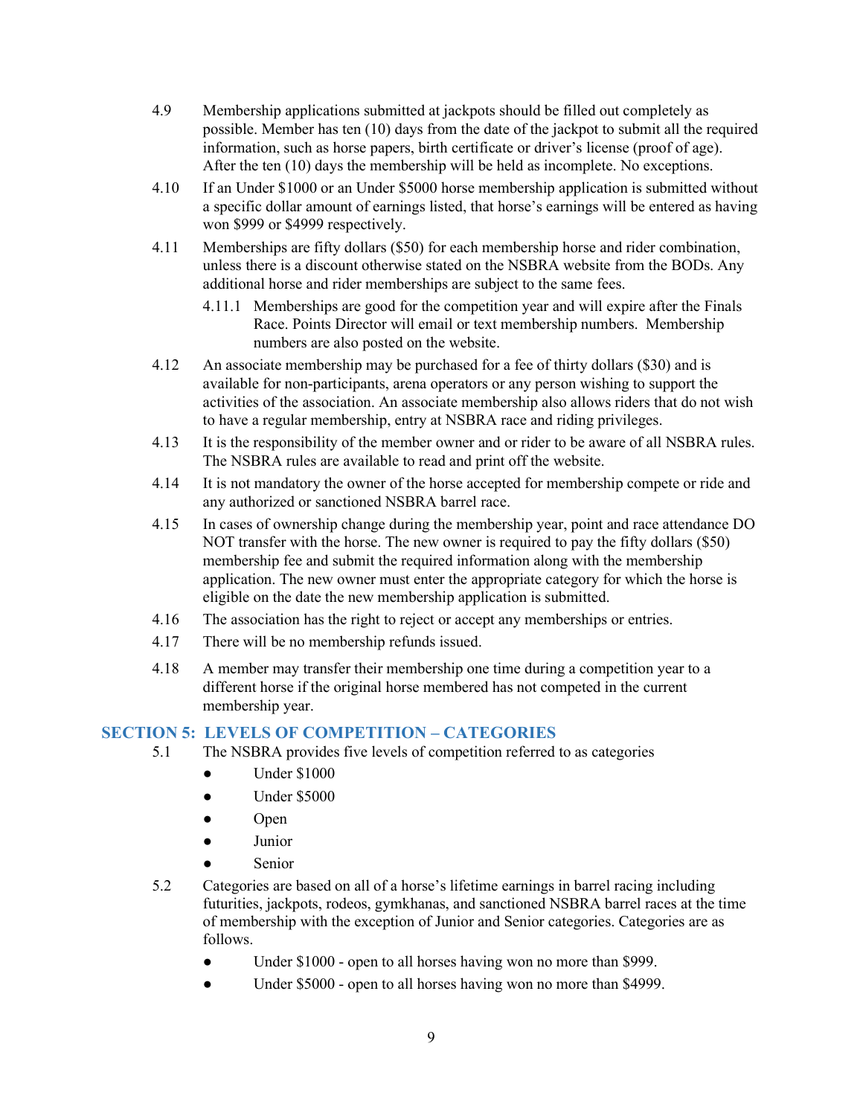- 4.9 Membership applications submitted at jackpots should be filled out completely as possible. Member has ten (10) days from the date of the jackpot to submit all the required information, such as horse papers, birth certificate or driver's license (proof of age). After the ten (10) days the membership will be held as incomplete. No exceptions.
- 4.10 If an Under \$1000 or an Under \$5000 horse membership application is submitted without a specific dollar amount of earnings listed, that horse's earnings will be entered as having won \$999 or \$4999 respectively.
- 4.11 Memberships are fifty dollars (\$50) for each membership horse and rider combination, unless there is a discount otherwise stated on the NSBRA website from the BODs. Any additional horse and rider memberships are subject to the same fees.
	- 4.11.1 Memberships are good for the competition year and will expire after the Finals Race. Points Director will email or text membership numbers. Membership numbers are also posted on the website.
- 4.12 An associate membership may be purchased for a fee of thirty dollars (\$30) and is available for non-participants, arena operators or any person wishing to support the activities of the association. An associate membership also allows riders that do not wish to have a regular membership, entry at NSBRA race and riding privileges.
- 4.13 It is the responsibility of the member owner and or rider to be aware of all NSBRA rules. The NSBRA rules are available to read and print off the website.
- 4.14 It is not mandatory the owner of the horse accepted for membership compete or ride and any authorized or sanctioned NSBRA barrel race.
- 4.15 In cases of ownership change during the membership year, point and race attendance DO NOT transfer with the horse. The new owner is required to pay the fifty dollars (\$50) membership fee and submit the required information along with the membership application. The new owner must enter the appropriate category for which the horse is eligible on the date the new membership application is submitted.
- 4.16 The association has the right to reject or accept any memberships or entries.
- 4.17 There will be no membership refunds issued.
- 4.18 A member may transfer their membership one time during a competition year to a different horse if the original horse membered has not competed in the current membership year.

## SECTION 5: LEVELS OF COMPETITION – CATEGORIES

- 5.1 The NSBRA provides five levels of competition referred to as categories
	- **Under \$1000**
	- Under \$5000
	- **Open**
	- Junior
	- Senior
- 5.2 Categories are based on all of a horse's lifetime earnings in barrel racing including futurities, jackpots, rodeos, gymkhanas, and sanctioned NSBRA barrel races at the time of membership with the exception of Junior and Senior categories. Categories are as follows.
	- Under \$1000 open to all horses having won no more than \$999.
	- Under \$5000 open to all horses having won no more than \$4999.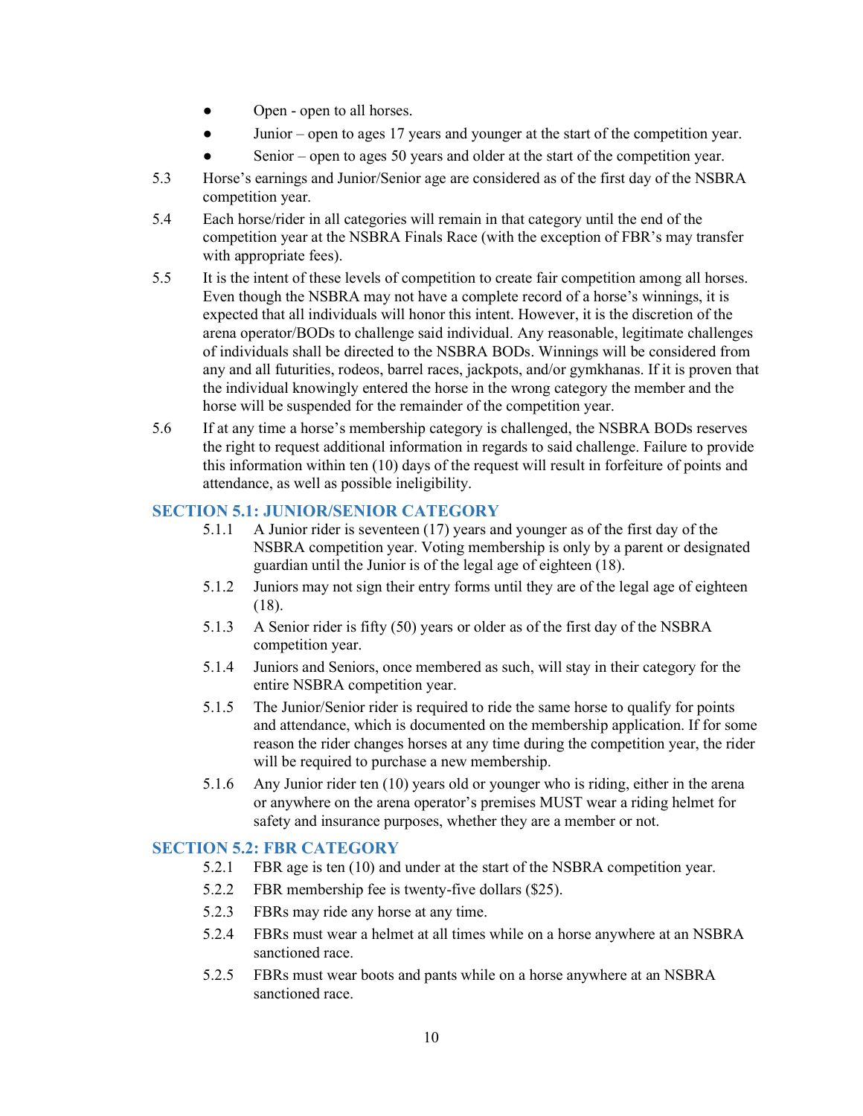- Open open to all horses.
- Junior open to ages 17 years and younger at the start of the competition year.
- Senior open to ages 50 years and older at the start of the competition year.
- 5.3 Horse's earnings and Junior/Senior age are considered as of the first day of the NSBRA competition year.
- 5.4 Each horse/rider in all categories will remain in that category until the end of the competition year at the NSBRA Finals Race (with the exception of FBR's may transfer with appropriate fees).
- 5.5 It is the intent of these levels of competition to create fair competition among all horses. Even though the NSBRA may not have a complete record of a horse's winnings, it is expected that all individuals will honor this intent. However, it is the discretion of the arena operator/BODs to challenge said individual. Any reasonable, legitimate challenges of individuals shall be directed to the NSBRA BODs. Winnings will be considered from any and all futurities, rodeos, barrel races, jackpots, and/or gymkhanas. If it is proven that the individual knowingly entered the horse in the wrong category the member and the horse will be suspended for the remainder of the competition year.
- 5.6 If at any time a horse's membership category is challenged, the NSBRA BODs reserves the right to request additional information in regards to said challenge. Failure to provide this information within ten (10) days of the request will result in forfeiture of points and attendance, as well as possible ineligibility.

## SECTION 5.1: JUNIOR/SENIOR CATEGORY

- 5.1.1 A Junior rider is seventeen (17) years and younger as of the first day of the NSBRA competition year. Voting membership is only by a parent or designated guardian until the Junior is of the legal age of eighteen (18).
- 5.1.2 Juniors may not sign their entry forms until they are of the legal age of eighteen (18).
- 5.1.3 A Senior rider is fifty (50) years or older as of the first day of the NSBRA competition year.
- 5.1.4 Juniors and Seniors, once membered as such, will stay in their category for the entire NSBRA competition year.
- 5.1.5 The Junior/Senior rider is required to ride the same horse to qualify for points and attendance, which is documented on the membership application. If for some reason the rider changes horses at any time during the competition year, the rider will be required to purchase a new membership.
- 5.1.6 Any Junior rider ten (10) years old or younger who is riding, either in the arena or anywhere on the arena operator's premises MUST wear a riding helmet for safety and insurance purposes, whether they are a member or not.

## SECTION 5.2: FBR CATEGORY

- 5.2.1 FBR age is ten (10) and under at the start of the NSBRA competition year.
- 5.2.2 FBR membership fee is twenty-five dollars (\$25).
- 5.2.3 FBRs may ride any horse at any time.
- 5.2.4 FBRs must wear a helmet at all times while on a horse anywhere at an NSBRA sanctioned race.
- 5.2.5 FBRs must wear boots and pants while on a horse anywhere at an NSBRA sanctioned race.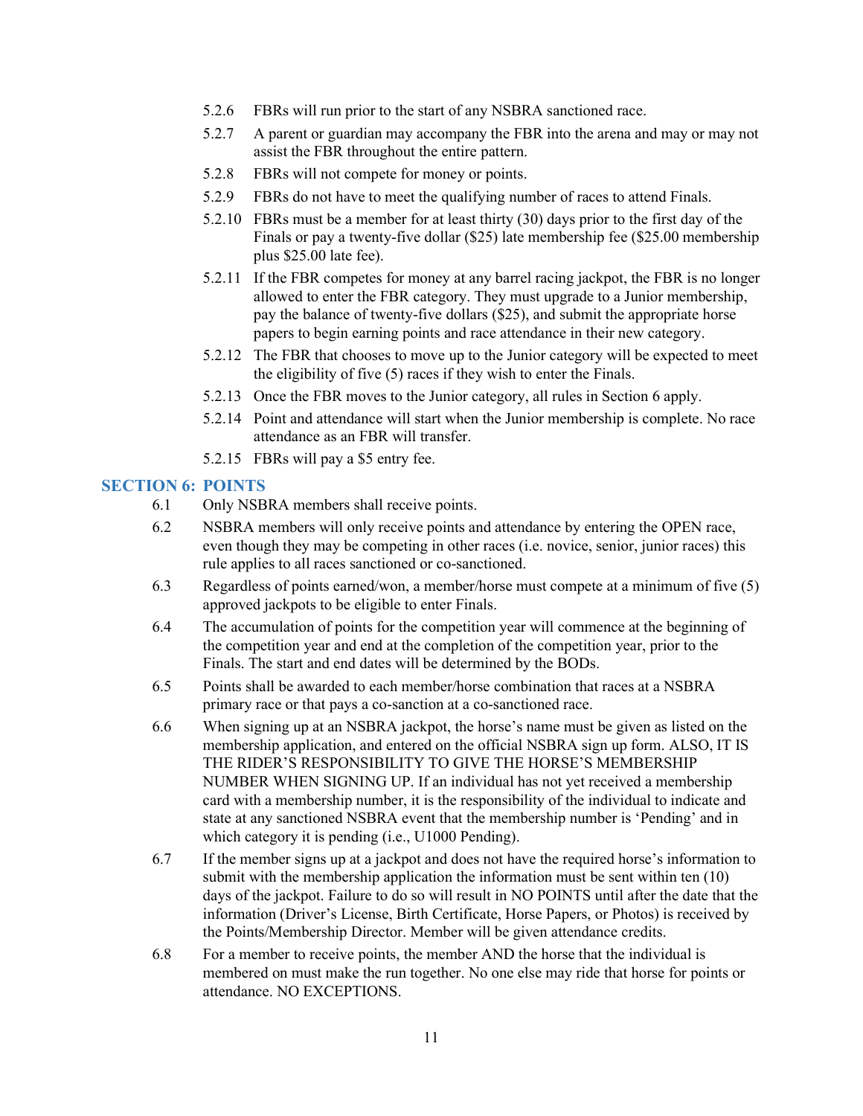- 5.2.6 FBRs will run prior to the start of any NSBRA sanctioned race.
- 5.2.7 A parent or guardian may accompany the FBR into the arena and may or may not assist the FBR throughout the entire pattern.
- 5.2.8 FBRs will not compete for money or points.
- 5.2.9 FBRs do not have to meet the qualifying number of races to attend Finals.
- 5.2.10 FBRs must be a member for at least thirty (30) days prior to the first day of the Finals or pay a twenty-five dollar (\$25) late membership fee (\$25.00 membership plus \$25.00 late fee).
- 5.2.11 If the FBR competes for money at any barrel racing jackpot, the FBR is no longer allowed to enter the FBR category. They must upgrade to a Junior membership, pay the balance of twenty-five dollars (\$25), and submit the appropriate horse papers to begin earning points and race attendance in their new category.
- 5.2.12 The FBR that chooses to move up to the Junior category will be expected to meet the eligibility of five (5) races if they wish to enter the Finals.
- 5.2.13 Once the FBR moves to the Junior category, all rules in Section 6 apply.
- 5.2.14 Point and attendance will start when the Junior membership is complete. No race attendance as an FBR will transfer.
- 5.2.15 FBRs will pay a \$5 entry fee.

#### SECTION 6: POINTS

- 6.1 Only NSBRA members shall receive points.
- 6.2 NSBRA members will only receive points and attendance by entering the OPEN race, even though they may be competing in other races (i.e. novice, senior, junior races) this rule applies to all races sanctioned or co-sanctioned.
- 6.3 Regardless of points earned/won, a member/horse must compete at a minimum of five (5) approved jackpots to be eligible to enter Finals.
- 6.4 The accumulation of points for the competition year will commence at the beginning of the competition year and end at the completion of the competition year, prior to the Finals. The start and end dates will be determined by the BODs.
- 6.5 Points shall be awarded to each member/horse combination that races at a NSBRA primary race or that pays a co-sanction at a co-sanctioned race.
- 6.6 When signing up at an NSBRA jackpot, the horse's name must be given as listed on the membership application, and entered on the official NSBRA sign up form. ALSO, IT IS THE RIDER'S RESPONSIBILITY TO GIVE THE HORSE'S MEMBERSHIP NUMBER WHEN SIGNING UP. If an individual has not yet received a membership card with a membership number, it is the responsibility of the individual to indicate and state at any sanctioned NSBRA event that the membership number is 'Pending' and in which category it is pending (i.e., U1000 Pending).
- 6.7 If the member signs up at a jackpot and does not have the required horse's information to submit with the membership application the information must be sent within ten (10) days of the jackpot. Failure to do so will result in NO POINTS until after the date that the information (Driver's License, Birth Certificate, Horse Papers, or Photos) is received by the Points/Membership Director. Member will be given attendance credits.
- 6.8 For a member to receive points, the member AND the horse that the individual is membered on must make the run together. No one else may ride that horse for points or attendance. NO EXCEPTIONS.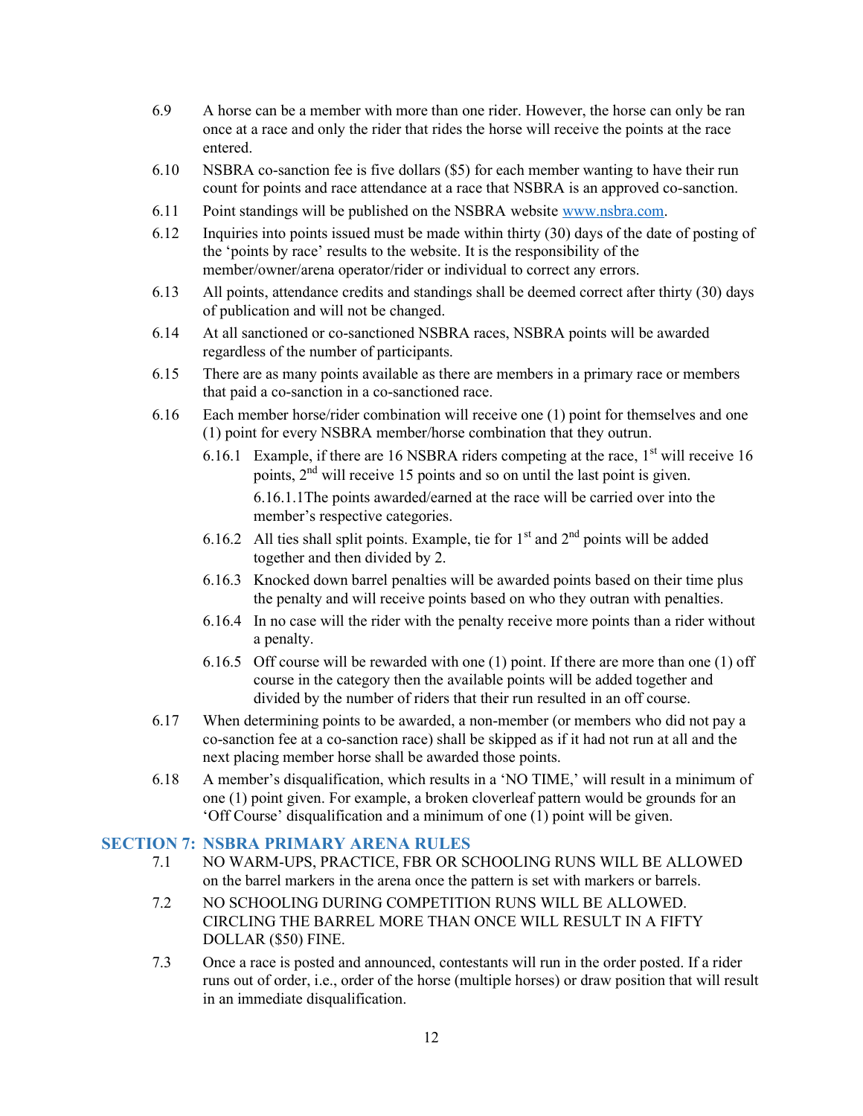- 6.9 A horse can be a member with more than one rider. However, the horse can only be ran once at a race and only the rider that rides the horse will receive the points at the race entered.
- 6.10 NSBRA co-sanction fee is five dollars (\$5) for each member wanting to have their run count for points and race attendance at a race that NSBRA is an approved co-sanction.
- 6.11 Point standings will be published on the NSBRA website www.nsbra.com.
- 6.12 Inquiries into points issued must be made within thirty (30) days of the date of posting of the 'points by race' results to the website. It is the responsibility of the member/owner/arena operator/rider or individual to correct any errors.
- 6.13 All points, attendance credits and standings shall be deemed correct after thirty (30) days of publication and will not be changed.
- 6.14 At all sanctioned or co-sanctioned NSBRA races, NSBRA points will be awarded regardless of the number of participants.
- 6.15 There are as many points available as there are members in a primary race or members that paid a co-sanction in a co-sanctioned race.
- 6.16 Each member horse/rider combination will receive one (1) point for themselves and one (1) point for every NSBRA member/horse combination that they outrun.
	- 6.16.1 Example, if there are 16 NSBRA riders competing at the race,  $1<sup>st</sup>$  will receive 16 points, 2nd will receive 15 points and so on until the last point is given. 6.16.1.1 The points awarded/earned at the race will be carried over into the member's respective categories.
	- 6.16.2 All ties shall split points. Example, tie for  $1<sup>st</sup>$  and  $2<sup>nd</sup>$  points will be added together and then divided by 2.
	- 6.16.3 Knocked down barrel penalties will be awarded points based on their time plus the penalty and will receive points based on who they outran with penalties.
	- 6.16.4 In no case will the rider with the penalty receive more points than a rider without a penalty.
	- 6.16.5 Off course will be rewarded with one (1) point. If there are more than one (1) off course in the category then the available points will be added together and divided by the number of riders that their run resulted in an off course.
- 6.17 When determining points to be awarded, a non-member (or members who did not pay a co-sanction fee at a co-sanction race) shall be skipped as if it had not run at all and the next placing member horse shall be awarded those points.
- 6.18 A member's disqualification, which results in a 'NO TIME,' will result in a minimum of one (1) point given. For example, a broken cloverleaf pattern would be grounds for an 'Off Course' disqualification and a minimum of one (1) point will be given.

#### SECTION 7: NSBRA PRIMARY ARENA RULES

- 7.1 NO WARM-UPS, PRACTICE, FBR OR SCHOOLING RUNS WILL BE ALLOWED on the barrel markers in the arena once the pattern is set with markers or barrels.
- 7.2 NO SCHOOLING DURING COMPETITION RUNS WILL BE ALLOWED. CIRCLING THE BARREL MORE THAN ONCE WILL RESULT IN A FIFTY DOLLAR (\$50) FINE.
- 7.3 Once a race is posted and announced, contestants will run in the order posted. If a rider runs out of order, i.e., order of the horse (multiple horses) or draw position that will result in an immediate disqualification.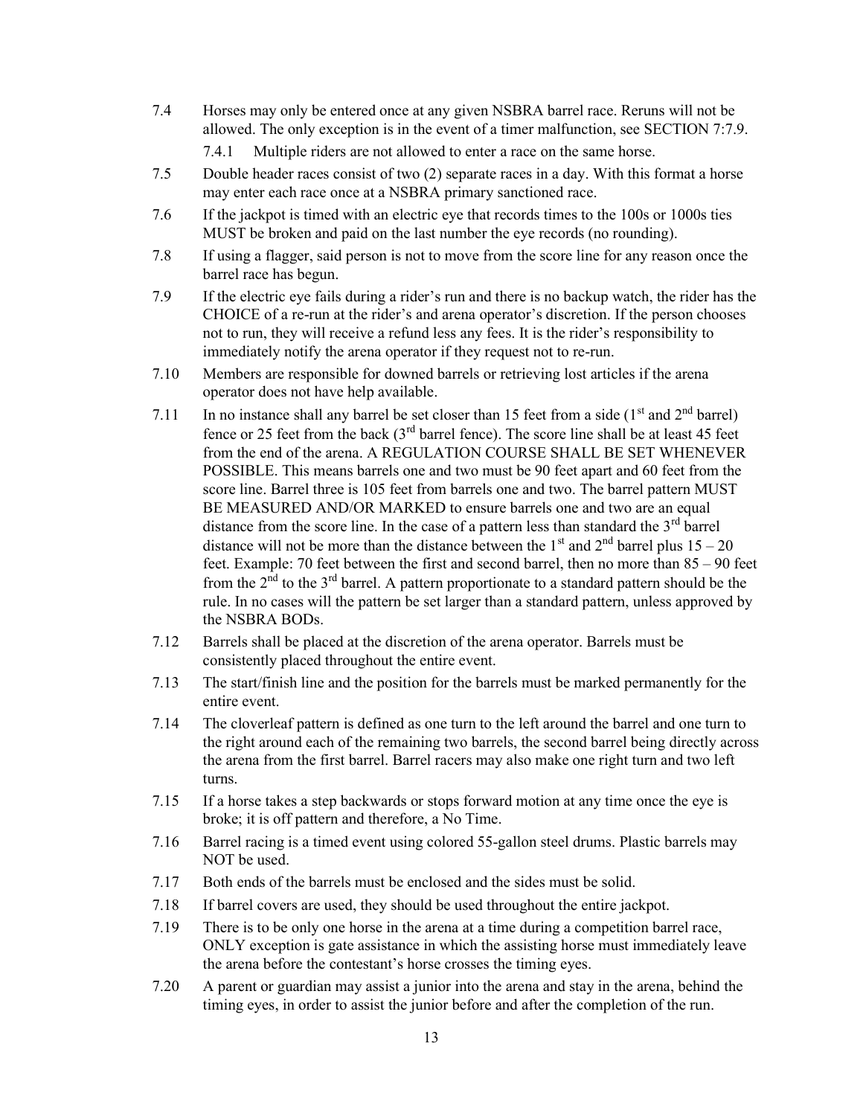7.4 Horses may only be entered once at any given NSBRA barrel race. Reruns will not be allowed. The only exception is in the event of a timer malfunction, see SECTION 7:7.9.

7.4.1 Multiple riders are not allowed to enter a race on the same horse.

- 7.5 Double header races consist of two (2) separate races in a day. With this format a horse may enter each race once at a NSBRA primary sanctioned race.
- 7.6 If the jackpot is timed with an electric eye that records times to the 100s or 1000s ties MUST be broken and paid on the last number the eye records (no rounding).
- 7.8 If using a flagger, said person is not to move from the score line for any reason once the barrel race has begun.
- 7.9 If the electric eye fails during a rider's run and there is no backup watch, the rider has the CHOICE of a re-run at the rider's and arena operator's discretion. If the person chooses not to run, they will receive a refund less any fees. It is the rider's responsibility to immediately notify the arena operator if they request not to re-run.
- 7.10 Members are responsible for downed barrels or retrieving lost articles if the arena operator does not have help available.
- 7.11 In no instance shall any barrel be set closer than 15 feet from a side  $(1<sup>st</sup>$  and  $2<sup>nd</sup>$  barrel) fence or 25 feet from the back  $3<sup>rd</sup>$  barrel fence). The score line shall be at least 45 feet from the end of the arena. A REGULATION COURSE SHALL BE SET WHENEVER POSSIBLE. This means barrels one and two must be 90 feet apart and 60 feet from the score line. Barrel three is 105 feet from barrels one and two. The barrel pattern MUST BE MEASURED AND/OR MARKED to ensure barrels one and two are an equal distance from the score line. In the case of a pattern less than standard the  $3<sup>rd</sup>$  barrel distance will not be more than the distance between the  $1<sup>st</sup>$  and  $2<sup>nd</sup>$  barrel plus  $15-20$ feet. Example: 70 feet between the first and second barrel, then no more than 85 – 90 feet from the  $2<sup>nd</sup>$  to the 3<sup>rd</sup> barrel. A pattern proportionate to a standard pattern should be the rule. In no cases will the pattern be set larger than a standard pattern, unless approved by the NSBRA BODs.
- 7.12 Barrels shall be placed at the discretion of the arena operator. Barrels must be consistently placed throughout the entire event.
- 7.13 The start/finish line and the position for the barrels must be marked permanently for the entire event.
- 7.14 The cloverleaf pattern is defined as one turn to the left around the barrel and one turn to the right around each of the remaining two barrels, the second barrel being directly across the arena from the first barrel. Barrel racers may also make one right turn and two left turns.
- 7.15 If a horse takes a step backwards or stops forward motion at any time once the eye is broke; it is off pattern and therefore, a No Time.
- 7.16 Barrel racing is a timed event using colored 55-gallon steel drums. Plastic barrels may NOT be used.
- 7.17 Both ends of the barrels must be enclosed and the sides must be solid.
- 7.18 If barrel covers are used, they should be used throughout the entire jackpot.
- 7.19 There is to be only one horse in the arena at a time during a competition barrel race, ONLY exception is gate assistance in which the assisting horse must immediately leave the arena before the contestant's horse crosses the timing eyes.
- 7.20 A parent or guardian may assist a junior into the arena and stay in the arena, behind the timing eyes, in order to assist the junior before and after the completion of the run.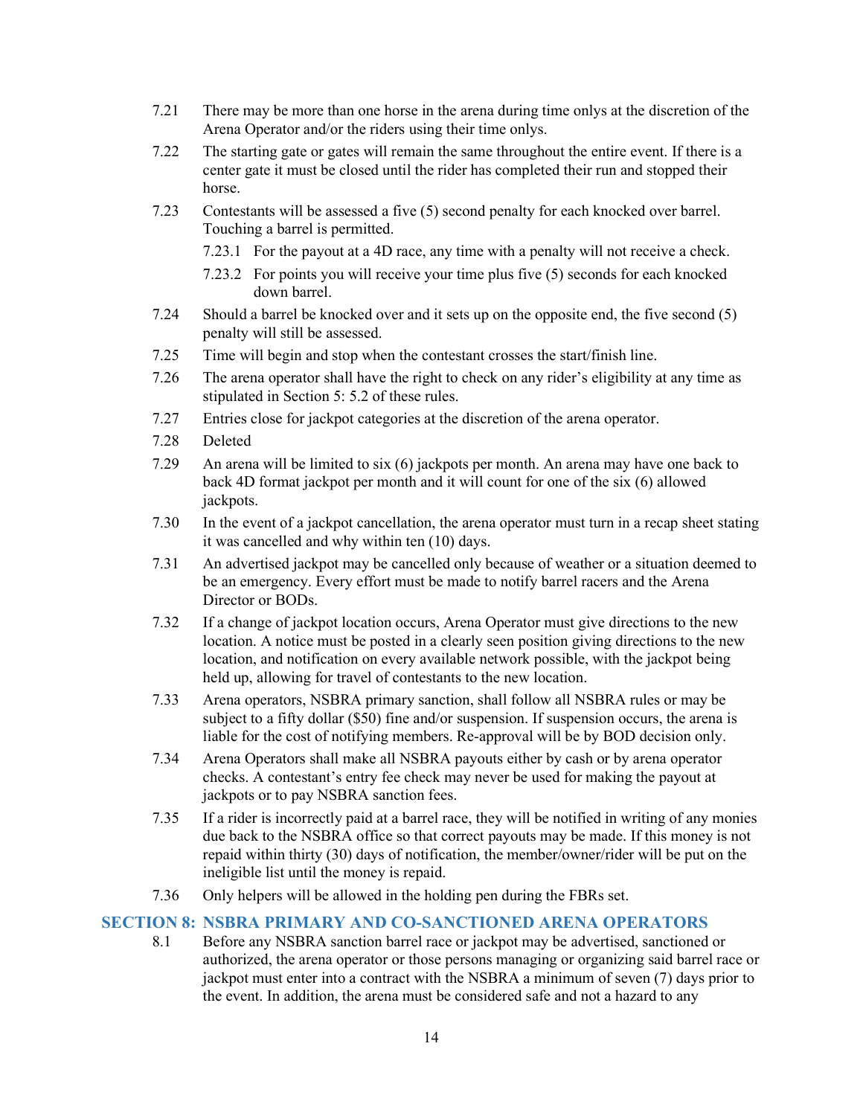- 7.21 There may be more than one horse in the arena during time onlys at the discretion of the Arena Operator and/or the riders using their time onlys.
- 7.22 The starting gate or gates will remain the same throughout the entire event. If there is a center gate it must be closed until the rider has completed their run and stopped their horse.
- 7.23 Contestants will be assessed a five (5) second penalty for each knocked over barrel. Touching a barrel is permitted.
	- 7.23.1 For the payout at a 4D race, any time with a penalty will not receive a check.
	- 7.23.2 For points you will receive your time plus five (5) seconds for each knocked down barrel.
- 7.24 Should a barrel be knocked over and it sets up on the opposite end, the five second (5) penalty will still be assessed.
- 7.25 Time will begin and stop when the contestant crosses the start/finish line.
- 7.26 The arena operator shall have the right to check on any rider's eligibility at any time as stipulated in Section 5: 5.2 of these rules.
- 7.27 Entries close for jackpot categories at the discretion of the arena operator.
- 7.28 Deleted
- 7.29 An arena will be limited to six (6) jackpots per month. An arena may have one back to back 4D format jackpot per month and it will count for one of the six (6) allowed jackpots.
- 7.30 In the event of a jackpot cancellation, the arena operator must turn in a recap sheet stating it was cancelled and why within ten (10) days.
- 7.31 An advertised jackpot may be cancelled only because of weather or a situation deemed to be an emergency. Every effort must be made to notify barrel racers and the Arena Director or BODs.
- 7.32 If a change of jackpot location occurs, Arena Operator must give directions to the new location. A notice must be posted in a clearly seen position giving directions to the new location, and notification on every available network possible, with the jackpot being held up, allowing for travel of contestants to the new location.
- 7.33 Arena operators, NSBRA primary sanction, shall follow all NSBRA rules or may be subject to a fifty dollar (\$50) fine and/or suspension. If suspension occurs, the arena is liable for the cost of notifying members. Re-approval will be by BOD decision only.
- 7.34 Arena Operators shall make all NSBRA payouts either by cash or by arena operator checks. A contestant's entry fee check may never be used for making the payout at jackpots or to pay NSBRA sanction fees.
- 7.35 If a rider is incorrectly paid at a barrel race, they will be notified in writing of any monies due back to the NSBRA office so that correct payouts may be made. If this money is not repaid within thirty (30) days of notification, the member/owner/rider will be put on the ineligible list until the money is repaid.
- 7.36 Only helpers will be allowed in the holding pen during the FBRs set.

## SECTION 8: NSBRA PRIMARY AND CO-SANCTIONED ARENA OPERATORS

8.1 Before any NSBRA sanction barrel race or jackpot may be advertised, sanctioned or authorized, the arena operator or those persons managing or organizing said barrel race or jackpot must enter into a contract with the NSBRA a minimum of seven (7) days prior to the event. In addition, the arena must be considered safe and not a hazard to any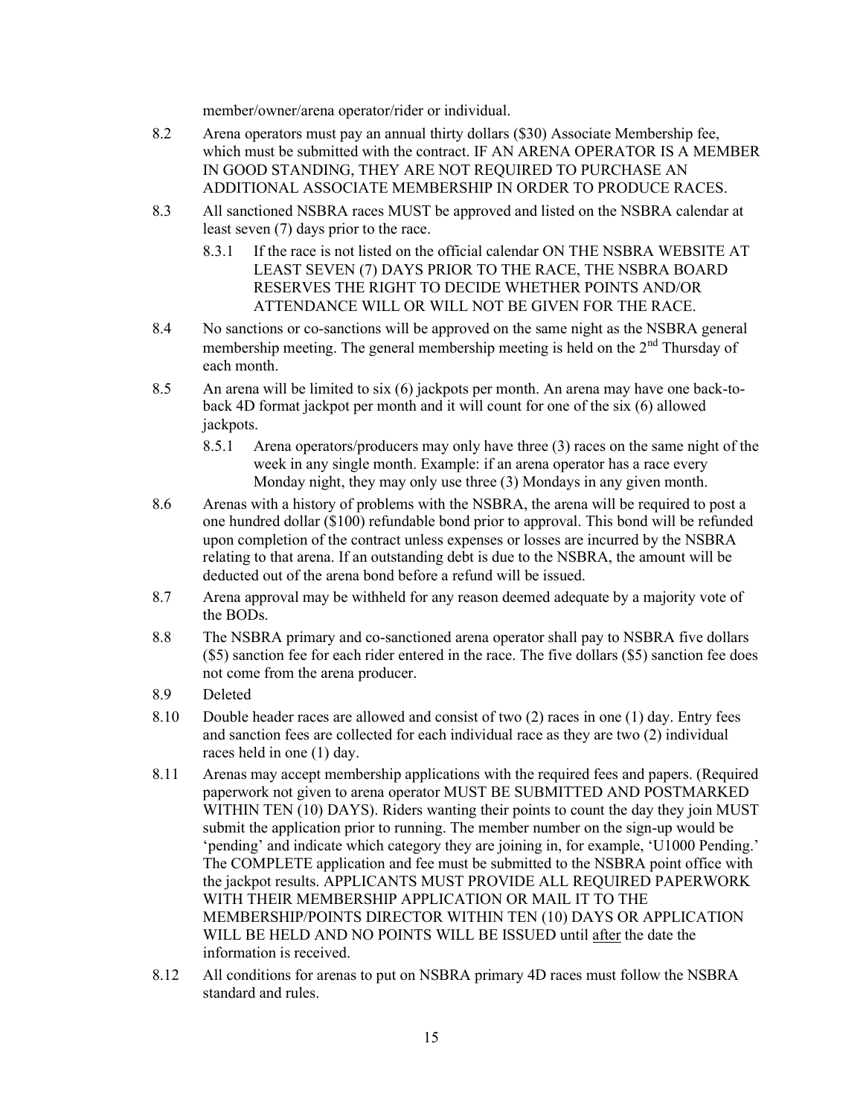member/owner/arena operator/rider or individual.

- 8.2 Arena operators must pay an annual thirty dollars (\$30) Associate Membership fee, which must be submitted with the contract. IF AN ARENA OPERATOR IS A MEMBER IN GOOD STANDING, THEY ARE NOT REQUIRED TO PURCHASE AN ADDITIONAL ASSOCIATE MEMBERSHIP IN ORDER TO PRODUCE RACES.
- 8.3 All sanctioned NSBRA races MUST be approved and listed on the NSBRA calendar at least seven (7) days prior to the race.
	- 8.3.1 If the race is not listed on the official calendar ON THE NSBRA WEBSITE AT LEAST SEVEN (7) DAYS PRIOR TO THE RACE, THE NSBRA BOARD RESERVES THE RIGHT TO DECIDE WHETHER POINTS AND/OR ATTENDANCE WILL OR WILL NOT BE GIVEN FOR THE RACE.
- 8.4 No sanctions or co-sanctions will be approved on the same night as the NSBRA general membership meeting. The general membership meeting is held on the  $2<sup>nd</sup>$  Thursday of each month.
- 8.5 An arena will be limited to six (6) jackpots per month. An arena may have one back-toback 4D format jackpot per month and it will count for one of the six (6) allowed jackpots.
	- 8.5.1 Arena operators/producers may only have three (3) races on the same night of the week in any single month. Example: if an arena operator has a race every Monday night, they may only use three (3) Mondays in any given month.
- 8.6 Arenas with a history of problems with the NSBRA, the arena will be required to post a one hundred dollar (\$100) refundable bond prior to approval. This bond will be refunded upon completion of the contract unless expenses or losses are incurred by the NSBRA relating to that arena. If an outstanding debt is due to the NSBRA, the amount will be deducted out of the arena bond before a refund will be issued.
- 8.7 Arena approval may be withheld for any reason deemed adequate by a majority vote of the BODs.
- 8.8 The NSBRA primary and co-sanctioned arena operator shall pay to NSBRA five dollars (\$5) sanction fee for each rider entered in the race. The five dollars (\$5) sanction fee does not come from the arena producer.
- 8.9 Deleted
- 8.10 Double header races are allowed and consist of two (2) races in one (1) day. Entry fees and sanction fees are collected for each individual race as they are two (2) individual races held in one (1) day.
- 8.11 Arenas may accept membership applications with the required fees and papers. (Required paperwork not given to arena operator MUST BE SUBMITTED AND POSTMARKED WITHIN TEN (10) DAYS). Riders wanting their points to count the day they join MUST submit the application prior to running. The member number on the sign-up would be 'pending' and indicate which category they are joining in, for example, 'U1000 Pending.' The COMPLETE application and fee must be submitted to the NSBRA point office with the jackpot results. APPLICANTS MUST PROVIDE ALL REQUIRED PAPERWORK WITH THEIR MEMBERSHIP APPLICATION OR MAIL IT TO THE MEMBERSHIP/POINTS DIRECTOR WITHIN TEN (10) DAYS OR APPLICATION WILL BE HELD AND NO POINTS WILL BE ISSUED until after the date the information is received.
- 8.12 All conditions for arenas to put on NSBRA primary 4D races must follow the NSBRA standard and rules.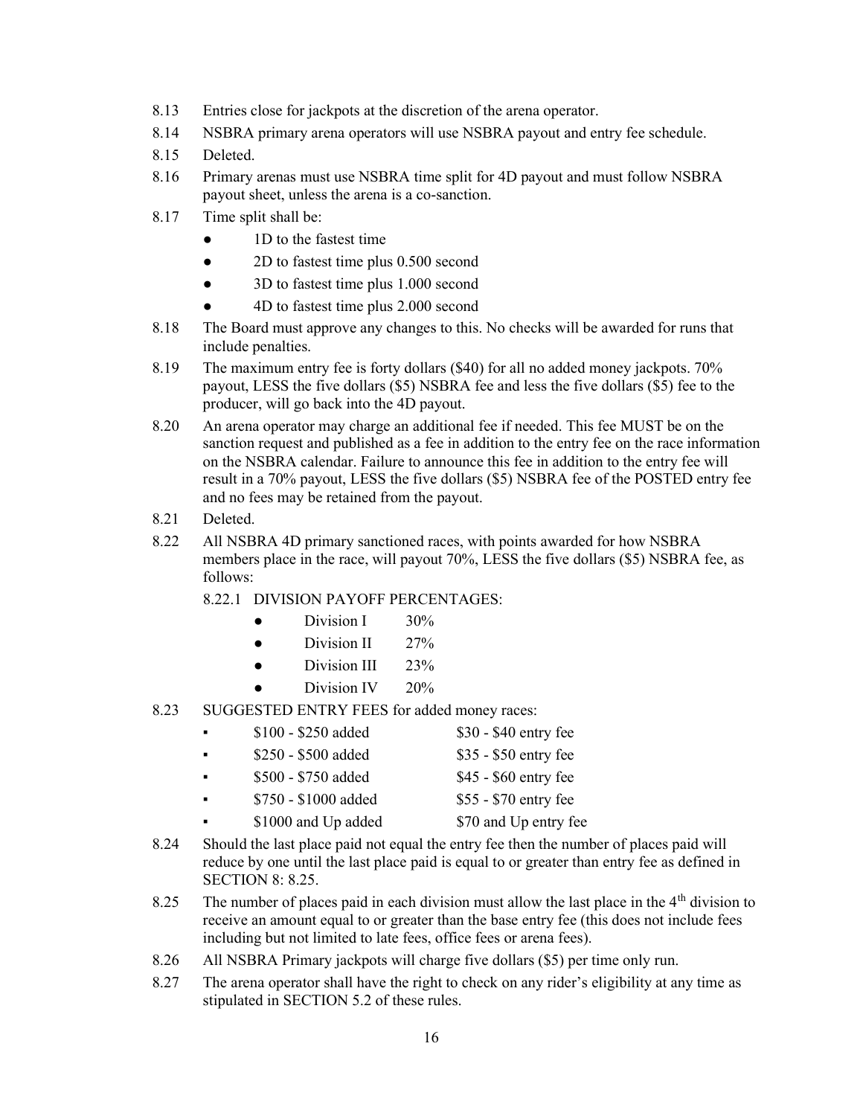- 8.13 Entries close for jackpots at the discretion of the arena operator.
- 8.14 NSBRA primary arena operators will use NSBRA payout and entry fee schedule.
- 8.15 Deleted.
- 8.16 Primary arenas must use NSBRA time split for 4D payout and must follow NSBRA payout sheet, unless the arena is a co-sanction.
- 8.17 Time split shall be:
	- 1D to the fastest time
	- 2D to fastest time plus 0.500 second
	- 3D to fastest time plus 1.000 second
	- 4D to fastest time plus 2.000 second
- 8.18 The Board must approve any changes to this. No checks will be awarded for runs that include penalties.
- 8.19 The maximum entry fee is forty dollars (\$40) for all no added money jackpots. 70% payout, LESS the five dollars (\$5) NSBRA fee and less the five dollars (\$5) fee to the producer, will go back into the 4D payout.
- 8.20 An arena operator may charge an additional fee if needed. This fee MUST be on the sanction request and published as a fee in addition to the entry fee on the race information on the NSBRA calendar. Failure to announce this fee in addition to the entry fee will result in a 70% payout, LESS the five dollars (\$5) NSBRA fee of the POSTED entry fee and no fees may be retained from the payout.
- 8.21 Deleted.
- 8.22 All NSBRA 4D primary sanctioned races, with points awarded for how NSBRA members place in the race, will payout 70%, LESS the five dollars (\$5) NSBRA fee, as follows:
	- 8.22.1 DIVISION PAYOFF PERCENTAGES:
		- Division I 30%
		- $\bullet$  Division II 27%
		- $\bullet$  Division III 23%
		- Division IV 20%
- 8.23 SUGGESTED ENTRY FEES for added money races:
	- $\bullet$  \$100 \$250 added \$30 \$40 entry fee
	- \$250 \$500 added \$35 \$50 entry fee
	- \$500 \$750 added \$45 \$60 entry fee
	- **•** \$750 \$1000 added \$55 \$70 entry fee
	- \$1000 and Up added \$70 and Up entry fee
- 8.24 Should the last place paid not equal the entry fee then the number of places paid will reduce by one until the last place paid is equal to or greater than entry fee as defined in SECTION 8: 8.25.
- 8.25 The number of places paid in each division must allow the last place in the  $4<sup>th</sup>$  division to receive an amount equal to or greater than the base entry fee (this does not include fees including but not limited to late fees, office fees or arena fees).
- 8.26 All NSBRA Primary jackpots will charge five dollars (\$5) per time only run.
- 8.27 The arena operator shall have the right to check on any rider's eligibility at any time as stipulated in SECTION 5.2 of these rules.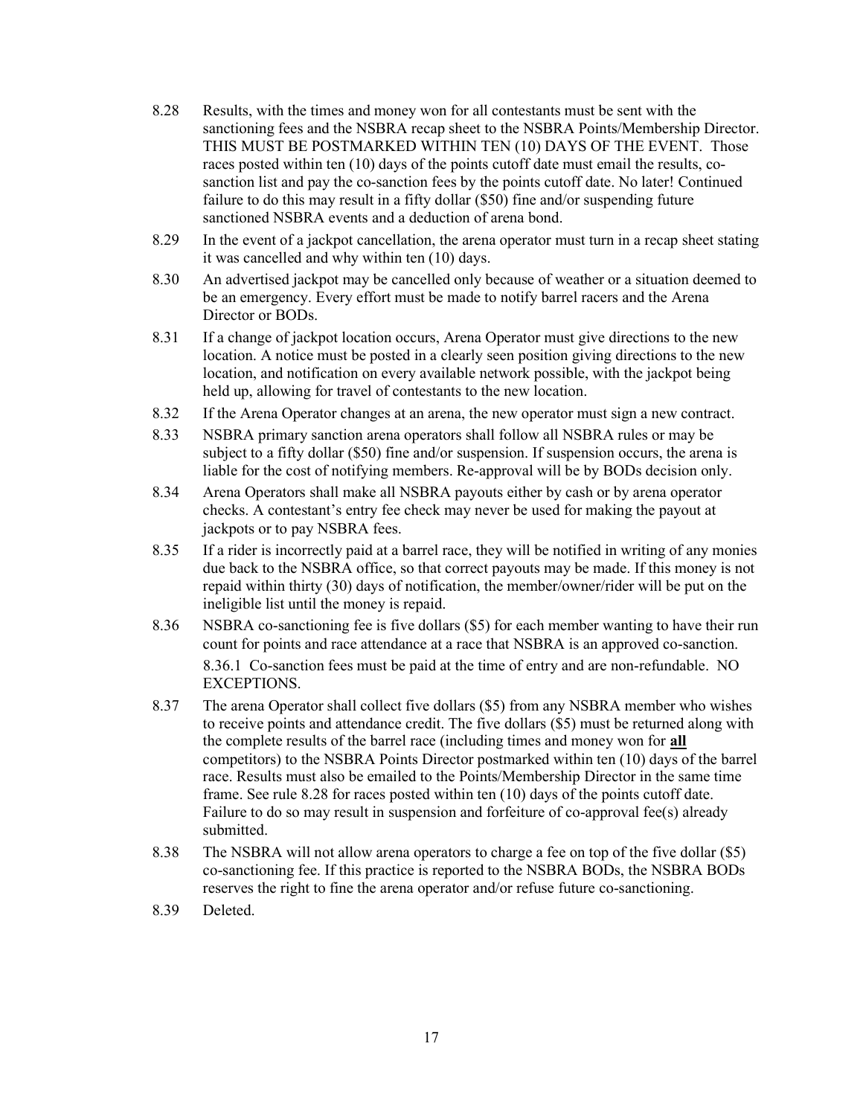- 8.28 Results, with the times and money won for all contestants must be sent with the sanctioning fees and the NSBRA recap sheet to the NSBRA Points/Membership Director. THIS MUST BE POSTMARKED WITHIN TEN (10) DAYS OF THE EVENT. Those races posted within ten (10) days of the points cutoff date must email the results, cosanction list and pay the co-sanction fees by the points cutoff date. No later! Continued failure to do this may result in a fifty dollar (\$50) fine and/or suspending future sanctioned NSBRA events and a deduction of arena bond.
- 8.29 In the event of a jackpot cancellation, the arena operator must turn in a recap sheet stating it was cancelled and why within ten (10) days.
- 8.30 An advertised jackpot may be cancelled only because of weather or a situation deemed to be an emergency. Every effort must be made to notify barrel racers and the Arena Director or BODs.
- 8.31 If a change of jackpot location occurs, Arena Operator must give directions to the new location. A notice must be posted in a clearly seen position giving directions to the new location, and notification on every available network possible, with the jackpot being held up, allowing for travel of contestants to the new location.
- 8.32 If the Arena Operator changes at an arena, the new operator must sign a new contract.
- 8.33 NSBRA primary sanction arena operators shall follow all NSBRA rules or may be subject to a fifty dollar (\$50) fine and/or suspension. If suspension occurs, the arena is liable for the cost of notifying members. Re-approval will be by BODs decision only.
- 8.34 Arena Operators shall make all NSBRA payouts either by cash or by arena operator checks. A contestant's entry fee check may never be used for making the payout at jackpots or to pay NSBRA fees.
- 8.35 If a rider is incorrectly paid at a barrel race, they will be notified in writing of any monies due back to the NSBRA office, so that correct payouts may be made. If this money is not repaid within thirty (30) days of notification, the member/owner/rider will be put on the ineligible list until the money is repaid.
- 8.36 NSBRA co-sanctioning fee is five dollars (\$5) for each member wanting to have their run count for points and race attendance at a race that NSBRA is an approved co-sanction. 8.36.1 Co-sanction fees must be paid at the time of entry and are non-refundable. NO EXCEPTIONS.
- 8.37 The arena Operator shall collect five dollars (\$5) from any NSBRA member who wishes to receive points and attendance credit. The five dollars (\$5) must be returned along with the complete results of the barrel race (including times and money won for **all** competitors) to the NSBRA Points Director postmarked within ten (10) days of the barrel race. Results must also be emailed to the Points/Membership Director in the same time frame. See rule 8.28 for races posted within ten (10) days of the points cutoff date. Failure to do so may result in suspension and forfeiture of co-approval fee(s) already submitted.
- 8.38 The NSBRA will not allow arena operators to charge a fee on top of the five dollar (\$5) co-sanctioning fee. If this practice is reported to the NSBRA BODs, the NSBRA BODs reserves the right to fine the arena operator and/or refuse future co-sanctioning.
- 8.39 Deleted.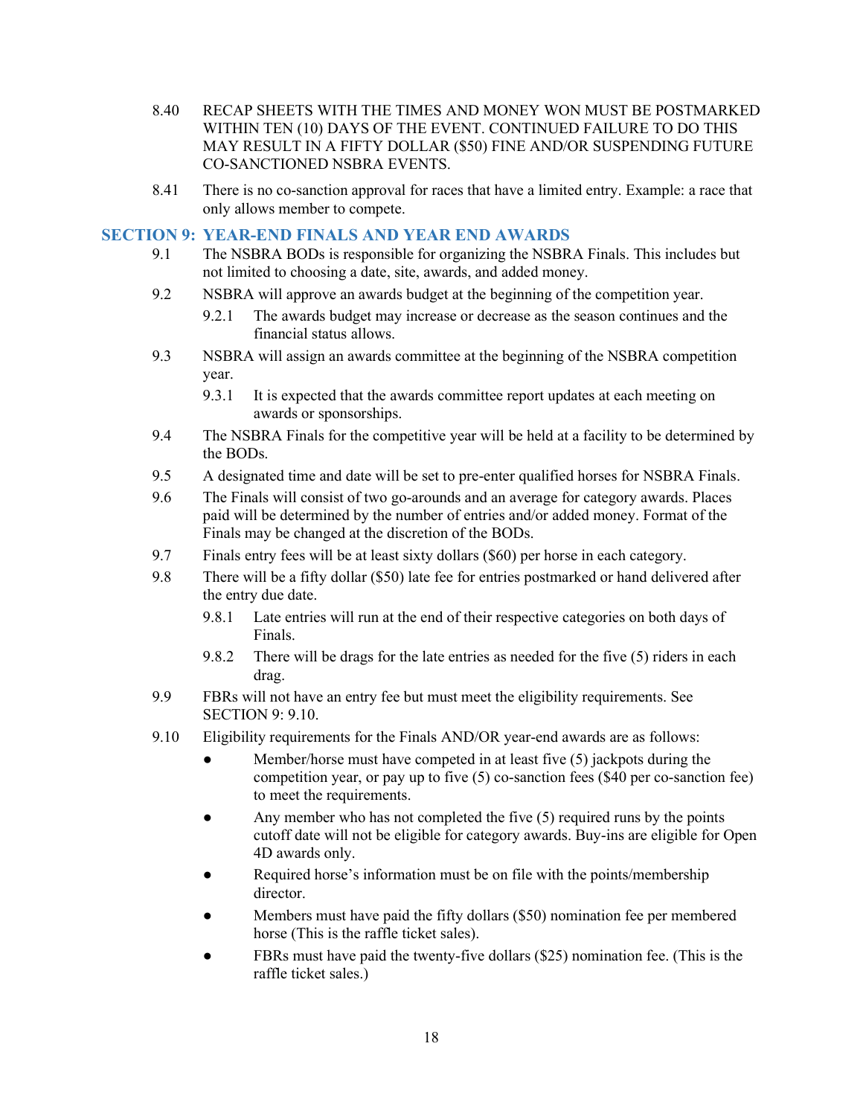- 8.40 RECAP SHEETS WITH THE TIMES AND MONEY WON MUST BE POSTMARKED WITHIN TEN (10) DAYS OF THE EVENT. CONTINUED FAILURE TO DO THIS MAY RESULT IN A FIFTY DOLLAR (\$50) FINE AND/OR SUSPENDING FUTURE CO-SANCTIONED NSBRA EVENTS.
- 8.41 There is no co-sanction approval for races that have a limited entry. Example: a race that only allows member to compete.

#### SECTION 9: YEAR-END FINALS AND YEAR END AWARDS

- 9.1 The NSBRA BODs is responsible for organizing the NSBRA Finals. This includes but not limited to choosing a date, site, awards, and added money.
- 9.2 NSBRA will approve an awards budget at the beginning of the competition year.
	- 9.2.1 The awards budget may increase or decrease as the season continues and the financial status allows.
- 9.3 NSBRA will assign an awards committee at the beginning of the NSBRA competition year.
	- 9.3.1 It is expected that the awards committee report updates at each meeting on awards or sponsorships.
- 9.4 The NSBRA Finals for the competitive year will be held at a facility to be determined by the BODs.
- 9.5 A designated time and date will be set to pre-enter qualified horses for NSBRA Finals.
- 9.6 The Finals will consist of two go-arounds and an average for category awards. Places paid will be determined by the number of entries and/or added money. Format of the Finals may be changed at the discretion of the BODs.
- 9.7 Finals entry fees will be at least sixty dollars (\$60) per horse in each category.
- 9.8 There will be a fifty dollar (\$50) late fee for entries postmarked or hand delivered after the entry due date.
	- 9.8.1 Late entries will run at the end of their respective categories on both days of Finals.
	- 9.8.2 There will be drags for the late entries as needed for the five (5) riders in each drag.
- 9.9 FBRs will not have an entry fee but must meet the eligibility requirements. See SECTION 9: 9.10.
- 9.10 Eligibility requirements for the Finals AND/OR year-end awards are as follows:
	- Member/horse must have competed in at least five  $(5)$  jackpots during the competition year, or pay up to five (5) co-sanction fees (\$40 per co-sanction fee) to meet the requirements.
	- Any member who has not completed the five  $(5)$  required runs by the points cutoff date will not be eligible for category awards. Buy-ins are eligible for Open 4D awards only.
	- Required horse's information must be on file with the points/membership director.
	- Members must have paid the fifty dollars (\$50) nomination fee per membered horse (This is the raffle ticket sales).
	- FBRs must have paid the twenty-five dollars  $(\$25)$  nomination fee. (This is the raffle ticket sales.)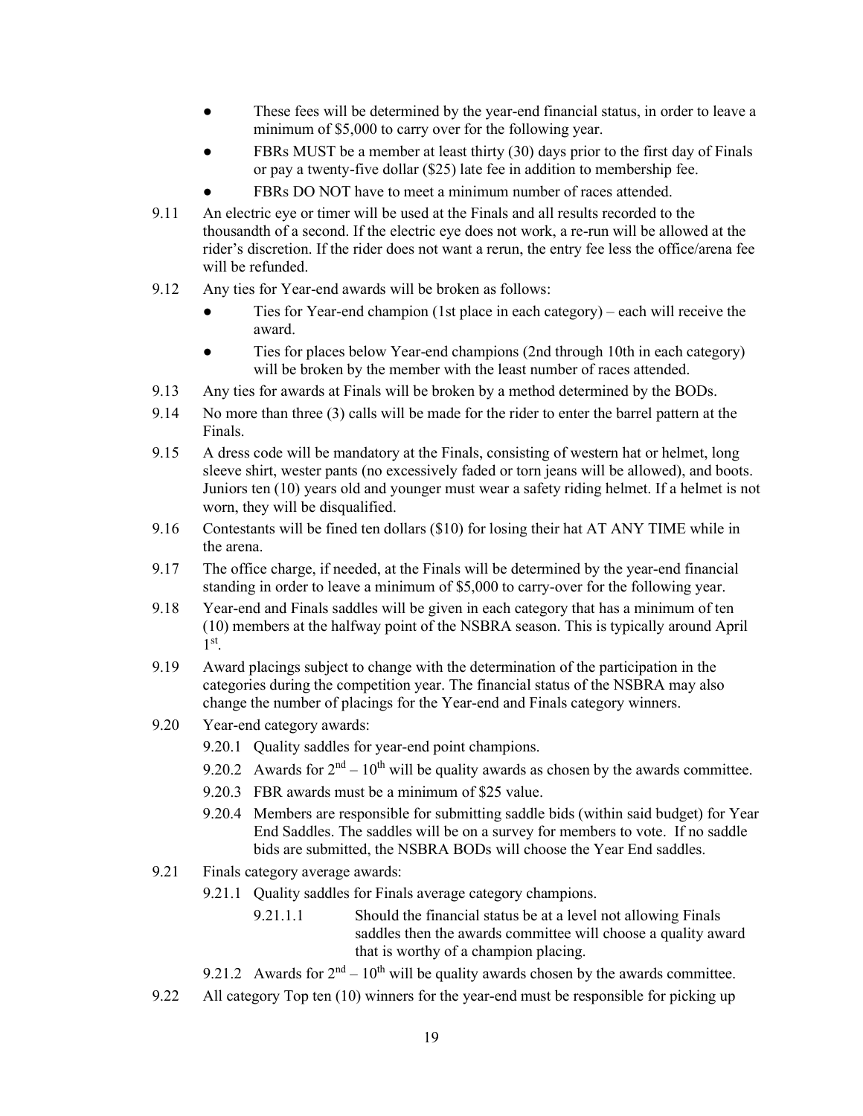- These fees will be determined by the year-end financial status, in order to leave a minimum of \$5,000 to carry over for the following year.
- FBRs MUST be a member at least thirty (30) days prior to the first day of Finals or pay a twenty-five dollar (\$25) late fee in addition to membership fee.
- FBRs DO NOT have to meet a minimum number of races attended.
- 9.11 An electric eye or timer will be used at the Finals and all results recorded to the thousandth of a second. If the electric eye does not work, a re-run will be allowed at the rider's discretion. If the rider does not want a rerun, the entry fee less the office/arena fee will be refunded.
- 9.12 Any ties for Year-end awards will be broken as follows:
	- Ties for Year-end champion (1st place in each category) each will receive the award.
	- Ties for places below Year-end champions (2nd through 10th in each category) will be broken by the member with the least number of races attended.
- 9.13 Any ties for awards at Finals will be broken by a method determined by the BODs.
- 9.14 No more than three (3) calls will be made for the rider to enter the barrel pattern at the Finals.
- 9.15 A dress code will be mandatory at the Finals, consisting of western hat or helmet, long sleeve shirt, wester pants (no excessively faded or torn jeans will be allowed), and boots. Juniors ten (10) years old and younger must wear a safety riding helmet. If a helmet is not worn, they will be disqualified.
- 9.16 Contestants will be fined ten dollars (\$10) for losing their hat AT ANY TIME while in the arena.
- 9.17 The office charge, if needed, at the Finals will be determined by the year-end financial standing in order to leave a minimum of \$5,000 to carry-over for the following year.
- 9.18 Year-end and Finals saddles will be given in each category that has a minimum of ten (10) members at the halfway point of the NSBRA season. This is typically around April 1 st .
- 9.19 Award placings subject to change with the determination of the participation in the categories during the competition year. The financial status of the NSBRA may also change the number of placings for the Year-end and Finals category winners.
- 9.20 Year-end category awards:
	- 9.20.1 Quality saddles for year-end point champions.
	- 9.20.2 Awards for  $2<sup>nd</sup> 10<sup>th</sup>$  will be quality awards as chosen by the awards committee.
	- 9.20.3 FBR awards must be a minimum of \$25 value.
	- 9.20.4 Members are responsible for submitting saddle bids (within said budget) for Year End Saddles. The saddles will be on a survey for members to vote. If no saddle bids are submitted, the NSBRA BODs will choose the Year End saddles.
- 9.21 Finals category average awards:
	- 9.21.1 Quality saddles for Finals average category champions.
		- 9.21.1.1 Should the financial status be at a level not allowing Finals saddles then the awards committee will choose a quality award that is worthy of a champion placing.
	- 9.21.2 Awards for  $2<sup>nd</sup> 10<sup>th</sup>$  will be quality awards chosen by the awards committee.
- 9.22 All category Top ten (10) winners for the year-end must be responsible for picking up